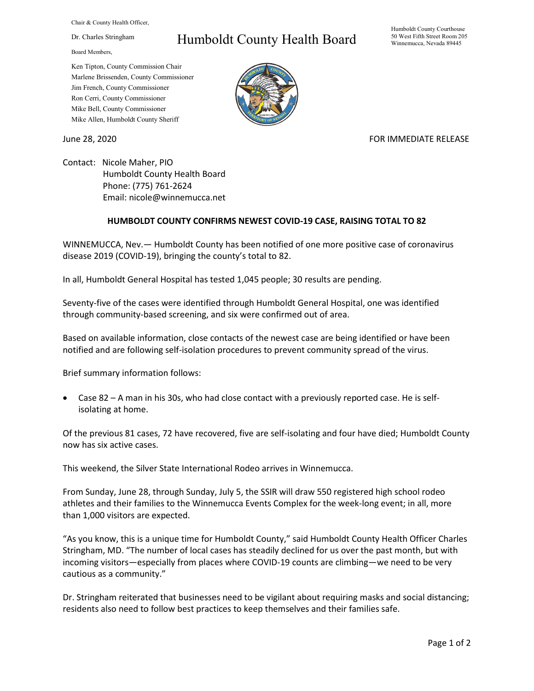Chair & County Health Officer,

Dr. Charles Stringham

Board Members,

## Humboldt County Health Board

Humboldt County Courthouse 50 West Fifth Street Room 205 Winnemucca, Nevada 89445

Ken Tipton, County Commission Chair Marlene Brissenden, County Commissioner Jim French, County Commissioner Ron Cerri, County Commissioner Mike Bell, County Commissioner Mike Allen, Humboldt County Sheriff

June 28, 2020 **FOR IMMEDIATE RELEASE** 

Contact: Nicole Maher, PIO Humboldt County Health Board Phone: (775) 761-2624 Email: nicole@winnemucca.net

## **HUMBOLDT COUNTY CONFIRMS NEWEST COVID-19 CASE, RAISING TOTAL TO 82**

WINNEMUCCA, Nev.— Humboldt County has been notified of one more positive case of coronavirus disease 2019 (COVID-19), bringing the county's total to 82.

In all, Humboldt General Hospital has tested 1,045 people; 30 results are pending.

Seventy-five of the cases were identified through Humboldt General Hospital, one was identified through community-based screening, and six were confirmed out of area.

Based on available information, close contacts of the newest case are being identified or have been notified and are following self-isolation procedures to prevent community spread of the virus.

Brief summary information follows:

• Case 82 – A man in his 30s, who had close contact with a previously reported case. He is selfisolating at home.

Of the previous 81 cases, 72 have recovered, five are self-isolating and four have died; Humboldt County now has six active cases.

This weekend, the Silver State International Rodeo arrives in Winnemucca.

From Sunday, June 28, through Sunday, July 5, the SSIR will draw 550 registered high school rodeo athletes and their families to the Winnemucca Events Complex for the week-long event; in all, more than 1,000 visitors are expected.

"As you know, this is a unique time for Humboldt County," said Humboldt County Health Officer Charles Stringham, MD. "The number of local cases has steadily declined for us over the past month, but with incoming visitors—especially from places where COVID-19 counts are climbing—we need to be very cautious as a community."

Dr. Stringham reiterated that businesses need to be vigilant about requiring masks and social distancing; residents also need to follow best practices to keep themselves and their families safe.